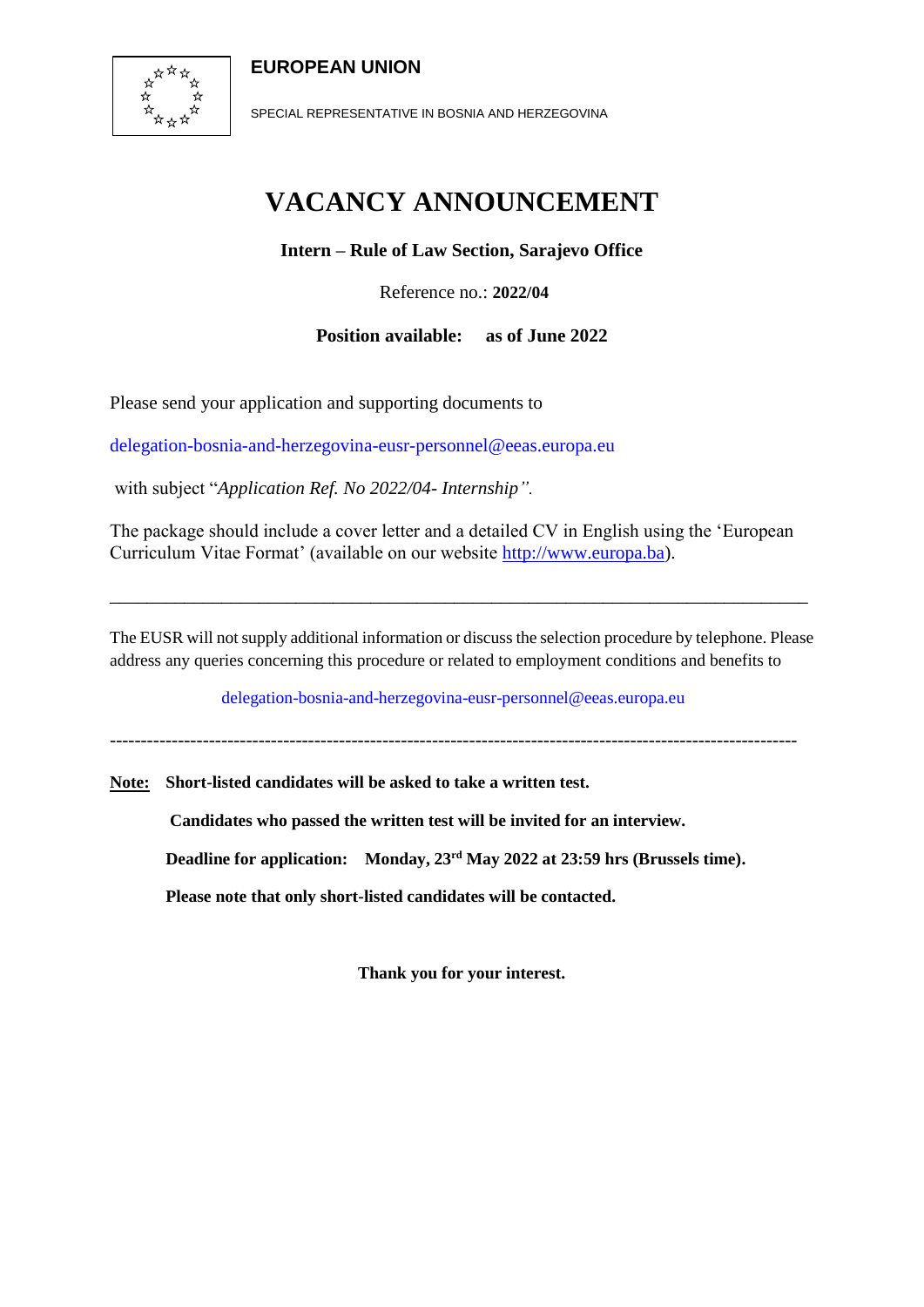### **EUROPEAN UNION**



SPECIAL REPRESENTATIVE IN BOSNIA AND HERZEGOVINA

# **VACANCY ANNOUNCEMENT**

**Intern – Rule of Law Section, Sarajevo Office**

Reference no.: **2022/04**

**Position available: as of June 2022**

Please send your application and supporting documents to

delegation-bosnia-and-herzegovina-eusr-personnel@eeas.europa.eu

with subject "*Application Ref. No 2022/04- Internship".*

The package should include a cover letter and a detailed CV in English using the 'European Curriculum Vitae Format' (available on our website [http://www.europa.ba\)](http://www.europa.ba/).

The EUSR will not supply additional information or discuss the selection procedure by telephone. Please address any queries concerning this procedure or related to employment conditions and benefits to

\_\_\_\_\_\_\_\_\_\_\_\_\_\_\_\_\_\_\_\_\_\_\_\_\_\_\_\_\_\_\_\_\_\_\_\_\_\_\_\_\_\_\_\_\_\_\_\_\_\_\_\_\_\_\_\_\_\_\_\_\_\_\_\_\_\_\_\_\_\_\_\_\_\_\_

delegation-bosnia-and-herzegovina-eusr-personnel@eeas.europa.eu

---------------------------------------------------------------------------------------------------------------

**Note: Short-listed candidates will be asked to take a written test.** 

**Candidates who passed the written test will be invited for an interview.**

**Deadline for application: Monday, 23rd May 2022 at 23:59 hrs (Brussels time).**

**Please note that only short-listed candidates will be contacted.**

**Thank you for your interest.**